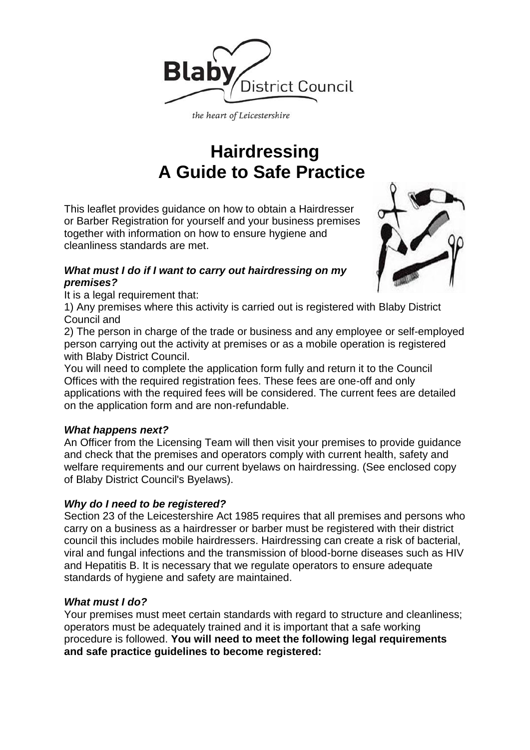

the heart of Leicestershire

# **Hairdressing A Guide to Safe Practice**

This leaflet provides guidance on how to obtain a Hairdresser or Barber Registration for yourself and your business premises together with information on how to ensure hygiene and cleanliness standards are met.

# *What must I do if I want to carry out hairdressing on my premises?*

It is a legal requirement that:

1) Any premises where this activity is carried out is registered with Blaby District Council and

2) The person in charge of the trade or business and any employee or self-employed person carrying out the activity at premises or as a mobile operation is registered with Blaby District Council.

You will need to complete the application form fully and return it to the Council Offices with the required registration fees. These fees are one-off and only applications with the required fees will be considered. The current fees are detailed on the application form and are non-refundable.

# *What happens next?*

An Officer from the Licensing Team will then visit your premises to provide guidance and check that the premises and operators comply with current health, safety and welfare requirements and our current byelaws on hairdressing. (See enclosed copy of Blaby District Council's Byelaws).

# *Why do I need to be registered?*

Section 23 of the Leicestershire Act 1985 requires that all premises and persons who carry on a business as a hairdresser or barber must be registered with their district council this includes mobile hairdressers. Hairdressing can create a risk of bacterial, viral and fungal infections and the transmission of blood-borne diseases such as HIV and Hepatitis B. It is necessary that we regulate operators to ensure adequate standards of hygiene and safety are maintained.

# *What must I do?*

Your premises must meet certain standards with regard to structure and cleanliness; operators must be adequately trained and it is important that a safe working procedure is followed. **You will need to meet the following legal requirements and safe practice guidelines to become registered:**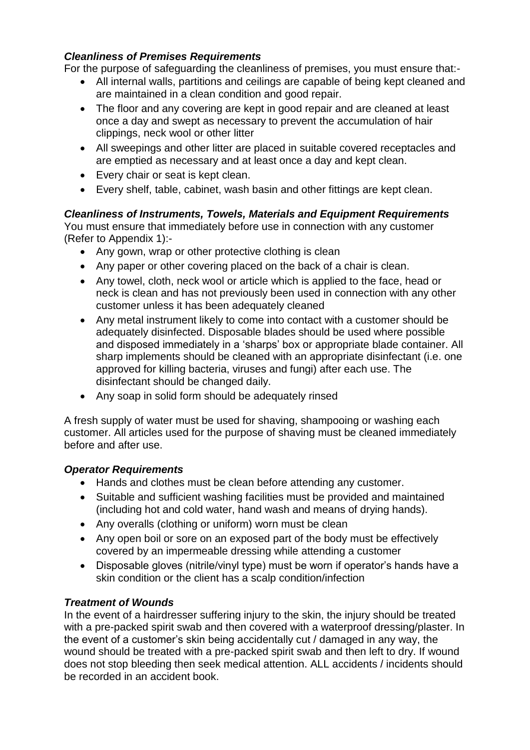### *Cleanliness of Premises Requirements*

For the purpose of safeguarding the cleanliness of premises, you must ensure that:-

- All internal walls, partitions and ceilings are capable of being kept cleaned and are maintained in a clean condition and good repair.
- The floor and any covering are kept in good repair and are cleaned at least once a day and swept as necessary to prevent the accumulation of hair clippings, neck wool or other litter
- All sweepings and other litter are placed in suitable covered receptacles and are emptied as necessary and at least once a day and kept clean.
- Every chair or seat is kept clean.
- Every shelf, table, cabinet, wash basin and other fittings are kept clean.

# *Cleanliness of Instruments, Towels, Materials and Equipment Requirements*

You must ensure that immediately before use in connection with any customer (Refer to Appendix 1):-

- Any gown, wrap or other protective clothing is clean
- Any paper or other covering placed on the back of a chair is clean.
- Any towel, cloth, neck wool or article which is applied to the face, head or neck is clean and has not previously been used in connection with any other customer unless it has been adequately cleaned
- Any metal instrument likely to come into contact with a customer should be adequately disinfected. Disposable blades should be used where possible and disposed immediately in a 'sharps' box or appropriate blade container. All sharp implements should be cleaned with an appropriate disinfectant (i.e. one approved for killing bacteria, viruses and fungi) after each use. The disinfectant should be changed daily.
- Any soap in solid form should be adequately rinsed

A fresh supply of water must be used for shaving, shampooing or washing each customer. All articles used for the purpose of shaving must be cleaned immediately before and after use.

# *Operator Requirements*

- Hands and clothes must be clean before attending any customer.
- Suitable and sufficient washing facilities must be provided and maintained (including hot and cold water, hand wash and means of drying hands).
- Any overalls (clothing or uniform) worn must be clean
- Any open boil or sore on an exposed part of the body must be effectively covered by an impermeable dressing while attending a customer
- Disposable gloves (nitrile/vinyl type) must be worn if operator's hands have a skin condition or the client has a scalp condition/infection

# *Treatment of Wounds*

In the event of a hairdresser suffering injury to the skin, the injury should be treated with a pre-packed spirit swab and then covered with a waterproof dressing/plaster. In the event of a customer's skin being accidentally cut / damaged in any way, the wound should be treated with a pre-packed spirit swab and then left to dry. If wound does not stop bleeding then seek medical attention. ALL accidents / incidents should be recorded in an accident book.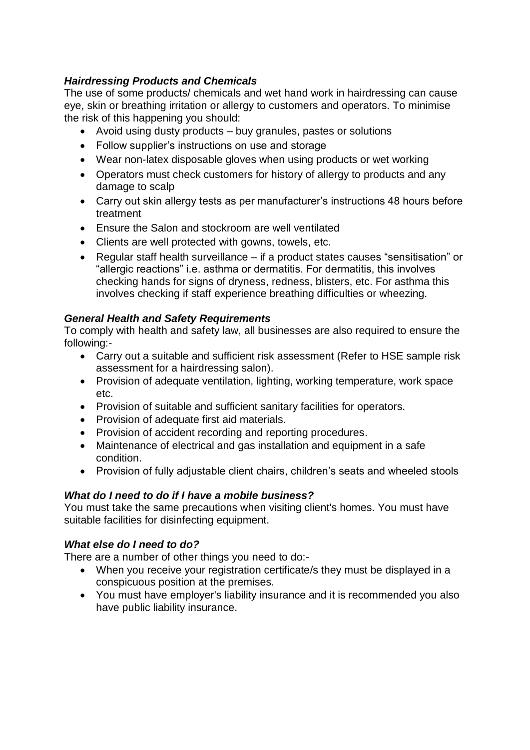# *Hairdressing Products and Chemicals*

The use of some products/ chemicals and wet hand work in hairdressing can cause eye, skin or breathing irritation or allergy to customers and operators. To minimise the risk of this happening you should:

- Avoid using dusty products buy granules, pastes or solutions
- Follow supplier's instructions on use and storage
- Wear non-latex disposable gloves when using products or wet working
- Operators must check customers for history of allergy to products and any damage to scalp
- Carry out skin allergy tests as per manufacturer's instructions 48 hours before treatment
- Ensure the Salon and stockroom are well ventilated
- Clients are well protected with gowns, towels, etc.
- Regular staff health surveillance if a product states causes "sensitisation" or "allergic reactions" i.e. asthma or dermatitis. For dermatitis, this involves checking hands for signs of dryness, redness, blisters, etc. For asthma this involves checking if staff experience breathing difficulties or wheezing.

# *General Health and Safety Requirements*

To comply with health and safety law, all businesses are also required to ensure the following:-

- Carry out a suitable and sufficient risk assessment (Refer to HSE sample risk assessment for a hairdressing salon).
- Provision of adequate ventilation, lighting, working temperature, work space etc.
- Provision of suitable and sufficient sanitary facilities for operators.
- Provision of adequate first aid materials.
- Provision of accident recording and reporting procedures.
- Maintenance of electrical and gas installation and equipment in a safe condition.
- Provision of fully adjustable client chairs, children's seats and wheeled stools

# *What do I need to do if I have a mobile business?*

You must take the same precautions when visiting client's homes. You must have suitable facilities for disinfecting equipment.

# *What else do I need to do?*

There are a number of other things you need to do:-

- When you receive your registration certificate/s they must be displayed in a conspicuous position at the premises.
- You must have employer's liability insurance and it is recommended you also have public liability insurance.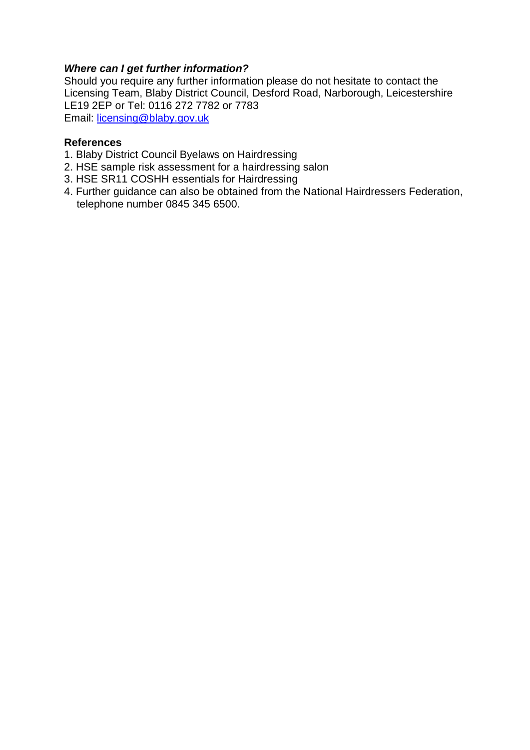### *Where can I get further information?*

Should you require any further information please do not hesitate to contact the Licensing Team, Blaby District Council, Desford Road, Narborough, Leicestershire LE19 2EP or Tel: 0116 272 7782 or 7783 Email: [licensing@blaby.gov.uk](mailto:licensing@blaby.gov.uk)

#### **References**

- 1. Blaby District Council Byelaws on Hairdressing
- 2. HSE sample risk assessment for a hairdressing salon
- 3. HSE SR11 COSHH essentials for Hairdressing
- 4. Further guidance can also be obtained from the National Hairdressers Federation, telephone number 0845 345 6500.